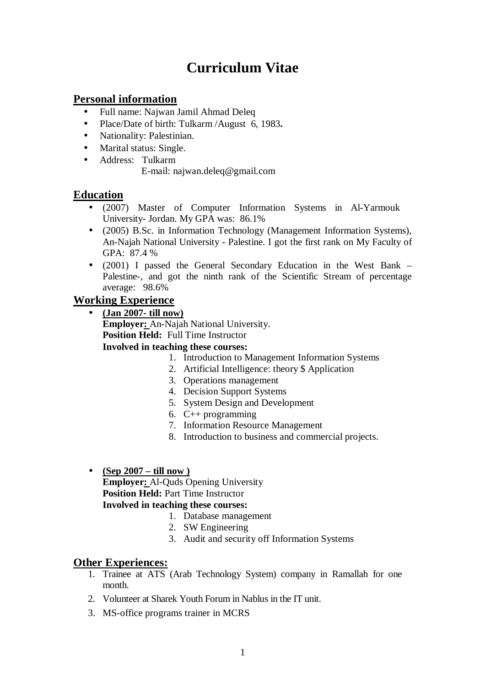# **Curriculum Vitae**

# **Personal information**

- Full name: Najwan Jamil Ahmad Deleq
- Place/Date of birth: Tulkarm /August 6, 1983**.**
- Nationality: Palestinian.
- Marital status: Single.
- Address: Tulkarm

E-mail: najwan.deleq@gmail.com

# **Education**

- (2007) Master of Computer Information Systems in Al-Yarmouk University- Jordan. My GPA was: 86.1%
- (2005) B.Sc. in Information Technology (Management Information Systems), An-Najah National University - Palestine. I got the first rank on My Faculty of GPA: 87.4 %
- (2001) I passed the General Secondary Education in the West Bank Palestine-, and got the ninth rank of the Scientific Stream of percentage average: 98.6%

## **Working Experience**

- **(Jan 2007- till now) Employer:** An-Najah National University. **Position Held:** Full Time Instructor **Involved in teaching these courses:**
	- 1. Introduction to Management Information Systems
	- 2. Artificial Intelligence: theory \$ Application
	- 3. Operations management
	- 4. Decision Support Systems
	- 5. System Design and Development
	- 6. C++ programming
	- 7. Information Resource Management
	- 8. Introduction to business and commercial projects.
- **(Sep 2007 till now )**

**Employer:** Al-Quds Opening University **Position Held: Part Time Instructor Involved in teaching these courses:** 

- 1. Database management
- 2. SW Engineering
- 3. Audit and security off Information Systems

#### **Other Experiences:**

- 1. Trainee at ATS (Arab Technology System) company in Ramallah for one month.
- 2. Volunteer at Sharek Youth Forum in Nablus in the IT unit.
- 3. MS-office programs trainer in MCRS